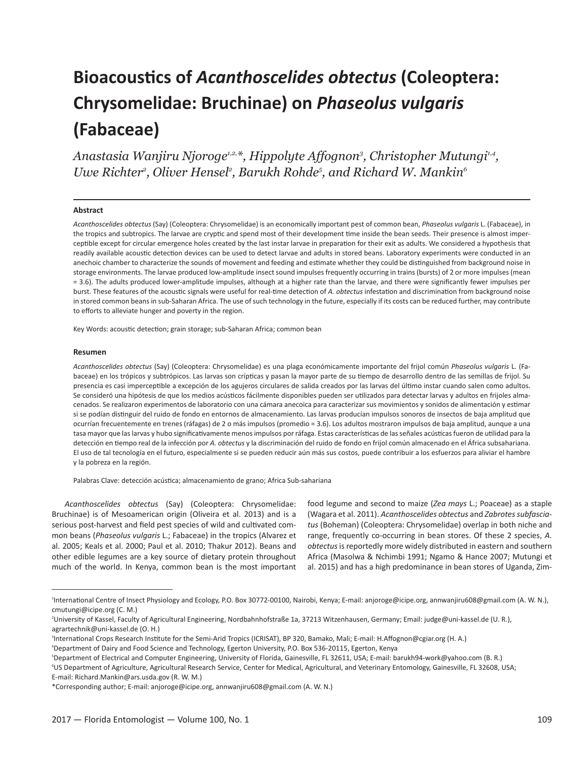# **Bioacoustics of** *Acanthoscelides obtectus* **(Coleoptera: Chrysomelidae: Bruchinae) on** *Phaseolus vulgaris*  **(Fabaceae)**

*Anastasia Wanjiru Njoroge1,2,\*, Hippolyte Affognon3 , Christopher Mutungi1,4,*  Uwe Richter<sup>2</sup>, Oliver Hensel<sup>2</sup>, Barukh Rohde<sup>5</sup>, and Richard W. Mankin<sup>6</sup>

## **Abstract**

*Acanthoscelides obtectus* (Say) (Coleoptera: Chrysomelidae) is an economically important pest of common bean, *Phaseolus vulgaris* L. (Fabaceae), in the tropics and subtropics. The larvae are cryptic and spend most of their development time inside the bean seeds. Their presence is almost imperceptible except for circular emergence holes created by the last instar larvae in preparation for their exit as adults. We considered a hypothesis that readily available acoustic detection devices can be used to detect larvae and adults in stored beans. Laboratory experiments were conducted in an anechoic chamber to characterize the sounds of movement and feeding and estimate whether they could be distinguished from background noise in storage environments. The larvae produced low-amplitude insect sound impulses frequently occurring in trains (bursts) of 2 or more impulses (mean = 3.6). The adults produced lower-amplitude impulses, although at a higher rate than the larvae, and there were significantly fewer impulses per burst. These features of the acoustic signals were useful for real-time detection of *A. obtectus* infestation and discrimination from background noise in stored common beans in sub-Saharan Africa. The use of such technology in the future, especially if its costs can be reduced further, may contribute to efforts to alleviate hunger and poverty in the region.

Key Words: acoustic detection; grain storage; sub-Saharan Africa; common bean

#### **Resumen**

*Acanthoscelides obtectus* (Say) (Coleoptera: Chrysomelidae) es una plaga económicamente importante del frijol común *Phaseolus vulgaris* L. (Fabaceae) en los trópicos y subtrópicos. Las larvas son crípticas y pasan la mayor parte de su tiempo de desarrollo dentro de las semillas de frijol. Su presencia es casi imperceptible a excepción de los agujeros circulares de salida creados por las larvas del último instar cuando salen como adultos. Se consideró una hipótesis de que los medios acústicos fácilmente disponibles pueden ser utilizados para detectar larvas y adultos en frijoles almacenados. Se realizaron experimentos de laboratorio con una cámara anecoica para caracterizar sus movimientos y sonidos de alimentación y estimar si se podían distinguir del ruido de fondo en entornos de almacenamiento. Las larvas producían impulsos sonoros de insectos de baja amplitud que ocurrían frecuentemente en trenes (ráfagas) de 2 o más impulsos (promedio = 3.6). Los adultos mostraron impulsos de baja amplitud, aunque a una tasa mayor que las larvas y hubo significativamente menos impulsos por ráfaga. Estas características de las señales acústicas fueron de utilidad para la detección en tiempo real de la infección por *A. obtectus* y la discriminación del ruido de fondo en frijol común almacenado en el África subsahariana. El uso de tal tecnología en el futuro, especialmente si se pueden reducir aún más sus costos, puede contribuir a los esfuerzos para aliviar el hambre y la pobreza en la región.

Palabras Clave: detección acústica; almacenamiento de grano; Africa Sub-sahariana

*Acanthoscelides obtectus* (Say) (Coleoptera: Chrysomelidae: Bruchinae) is of Mesoamerican origin (Oliveira et al. 2013) and is a serious post-harvest and field pest species of wild and cultivated common beans (*Phaseolus vulgaris* L.; Fabaceae) in the tropics (Alvarez et al. 2005; Keals et al. 2000; Paul et al. 2010; Thakur 2012). Beans and other edible legumes are a key source of dietary protein throughout much of the world. In Kenya, common bean is the most important food legume and second to maize (*Zea mays* L.; Poaceae) as a staple (Wagara et al. 2011). *Acanthoscelides obtectus* and *Zabrotes subfasciatus* (Boheman) (Coleoptera: Chrysomelidae) overlap in both niche and range, frequently co-occurring in bean stores. Of these 2 species, *A. obtectus* is reportedly more widely distributed in eastern and southern Africa (Masolwa & Nchimbi 1991; Ngamo & Hance 2007; Mutungi et al. 2015) and has a high predominance in bean stores of Uganda, Zim-

<sup>1</sup> International Centre of Insect Physiology and Ecology, P.O. Box 30772-00100, Nairobi, Kenya; E-mail: anjoroge@icipe.org, annwanjiru608@gmail.com (A. W. N.), cmutungi@icipe.org (C. M.)

<sup>2</sup> University of Kassel, Faculty of Agricultural Engineering, Nordbahnhofstraße 1a, 37213 Witzenhausen, Germany; Email: judge@uni-kassel.de (U. R.), agrartechnik@uni-kassel.de (O. H.)

<sup>3</sup> International Crops Research Institute for the Semi-Arid Tropics (ICRISAT), BP 320, Bamako, Mali; E-mail: H.Affognon@cgiar.org (H. A.)

<sup>4</sup> Department of Dairy and Food Science and Technology, Egerton University, P.O. Box 536-20115, Egerton, Kenya

<sup>5</sup> Department of Electrical and Computer Engineering, University of Florida, Gainesville, FL 32611, USA; E-mail: barukh94-work@yahoo.com (B. R.)

<sup>6</sup> US Department of Agriculture, Agricultural Research Service, Center for Medical, Agricultural, and Veterinary Entomology, Gainesville, FL 32608, USA; E-mail: Richard.Mankin@ars.usda.gov (R. W. M.)

<sup>\*</sup>Corresponding author; E-mail: anjoroge@icipe.org, annwanjiru608@gmail.com (A. W. N.)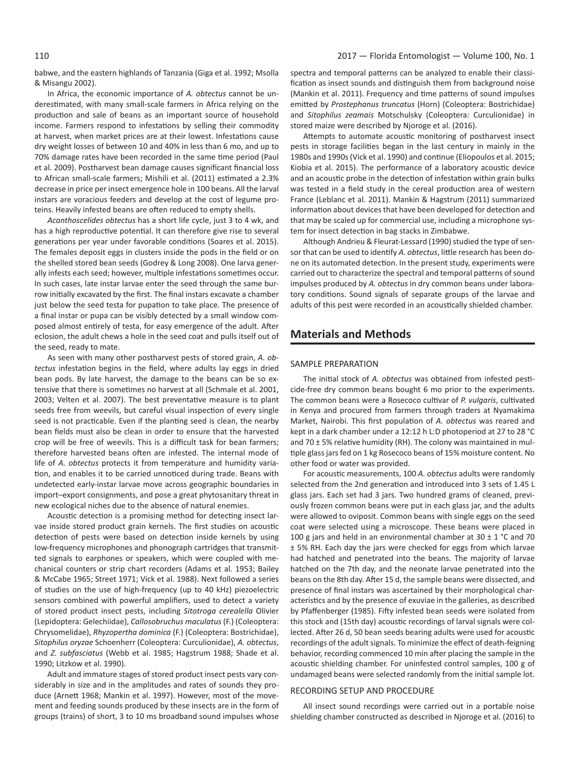babwe, and the eastern highlands of Tanzania (Giga et al. 1992; Msolla & Misangu 2002).

In Africa, the economic importance of *A. obtectus* cannot be underestimated, with many small-scale farmers in Africa relying on the production and sale of beans as an important source of household income. Farmers respond to infestations by selling their commodity at harvest, when market prices are at their lowest. Infestations cause dry weight losses of between 10 and 40% in less than 6 mo, and up to 70% damage rates have been recorded in the same time period (Paul et al. 2009). Postharvest bean damage causes significant financial loss to African small-scale farmers; Mishili et al. (2011) estimated a 2.3% decrease in price per insect emergence hole in 100 beans. All the larval instars are voracious feeders and develop at the cost of legume proteins. Heavily infested beans are often reduced to empty shells.

*Acanthoscelides obtectus* has a short life cycle, just 3 to 4 wk, and has a high reproductive potential. It can therefore give rise to several generations per year under favorable conditions (Soares et al. 2015). The females deposit eggs in clusters inside the pods in the field or on the shelled stored bean seeds (Godrey & Long 2008). One larva generally infests each seed; however, multiple infestations sometimes occur. In such cases, late instar larvae enter the seed through the same burrow initially excavated by the first. The final instars excavate a chamber just below the seed testa for pupation to take place. The presence of a final instar or pupa can be visibly detected by a small window composed almost entirely of testa, for easy emergence of the adult. After eclosion, the adult chews a hole in the seed coat and pulls itself out of the seed, ready to mate.

As seen with many other postharvest pests of stored grain, *A. obtectus* infestation begins in the field, where adults lay eggs in dried bean pods. By late harvest, the damage to the beans can be so extensive that there is sometimes no harvest at all (Schmale et al. 2001, 2003; Velten et al. 2007). The best preventative measure is to plant seeds free from weevils, but careful visual inspection of every single seed is not practicable. Even if the planting seed is clean, the nearby bean fields must also be clean in order to ensure that the harvested crop will be free of weevils. This is a difficult task for bean farmers; therefore harvested beans often are infested. The internal mode of life of *A. obtectus* protects it from temperature and humidity variation, and enables it to be carried unnoticed during trade. Beans with undetected early-instar larvae move across geographic boundaries in import–export consignments, and pose a great phytosanitary threat in new ecological niches due to the absence of natural enemies.

Acoustic detection is a promising method for detecting insect larvae inside stored product grain kernels. The first studies on acoustic detection of pests were based on detection inside kernels by using low-frequency microphones and phonograph cartridges that transmitted signals to earphones or speakers, which were coupled with mechanical counters or strip chart recorders (Adams et al. 1953; Bailey & McCabe 1965; Street 1971; Vick et al. 1988). Next followed a series of studies on the use of high-frequency (up to 40 kHz) piezoelectric sensors combined with powerful amplifiers, used to detect a variety of stored product insect pests, including *Sitotroga cerealella* Olivier (Lepidoptera: Gelechiidae), *Callosobruchus maculatus* (F.) (Coleoptera: Chrysomelidae), *Rhyzopertha dominica* (F.) (Coleoptera: Bostrichidae), *Sitophilus oryzae* Schoenherr (Coleoptera: Curculionidae), *A. obtectus*, and *Z. subfasciatus* (Webb et al. 1985; Hagstrum 1988; Shade et al. 1990; Litzkow et al. 1990).

Adult and immature stages of stored product insect pests vary considerably in size and in the amplitudes and rates of sounds they produce (Arnett 1968; Mankin et al. 1997). However, most of the movement and feeding sounds produced by these insects are in the form of groups (trains) of short, 3 to 10 ms broadband sound impulses whose

spectra and temporal patterns can be analyzed to enable their classification as insect sounds and distinguish them from background noise (Mankin et al. 2011). Frequency and time patterns of sound impulses emitted by *Prostephanus truncatus* (Horn) (Coleoptera: Bostrichidae) and *Sitophilus zeamais* Motschulsky (Coleoptera*:* Curculionidae) in stored maize were described by Njoroge et al. (2016).

Attempts to automate acoustic monitoring of postharvest insect pests in storage facilities began in the last century in mainly in the 1980s and 1990s (Vick et al. 1990) and continue (Eliopoulos et al. 2015; Kiobia et al. 2015). The performance of a laboratory acoustic device and an acoustic probe in the detection of infestation within grain bulks was tested in a field study in the cereal production area of western France (Leblanc et al. 2011). Mankin & Hagstrum (2011) summarized information about devices that have been developed for detection and that may be scaled up for commercial use, including a microphone system for insect detection in bag stacks in Zimbabwe.

Although Andrieu & Fleurat-Lessard (1990) studied the type of sensor that can be used to identify *A. obtectus*, little research has been done on its automated detection. In the present study, experiments were carried out to characterize the spectral and temporal patterns of sound impulses produced by *A. obtectus* in dry common beans under laboratory conditions. Sound signals of separate groups of the larvae and adults of this pest were recorded in an acoustically shielded chamber.

# **Materials and Methods**

## SAMPLE PREPARATION

The initial stock of *A. obtectus* was obtained from infested pesticide-free dry common beans bought 6 mo prior to the experiments. The common beans were a Rosecoco cultivar of *P. vulgaris*, cultivated in Kenya and procured from farmers through traders at Nyamakima Market, Nairobi. This first population of *A. obtectus* was reared and kept in a dark chamber under a 12:12 h L:D photoperiod at 27 to 28 °C and 70  $\pm$  5% relative humidity (RH). The colony was maintained in multiple glass jars fed on 1 kg Rosecoco beans of 15% moisture content. No other food or water was provided.

For acoustic measurements, 100 *A. obtectus* adults were randomly selected from the 2nd generation and introduced into 3 sets of 1.45 L glass jars. Each set had 3 jars. Two hundred grams of cleaned, previously frozen common beans were put in each glass jar, and the adults were allowed to oviposit. Common beans with single eggs on the seed coat were selected using a microscope. These beans were placed in 100 g jars and held in an environmental chamber at  $30 \pm 1$  °C and 70 ± 5% RH. Each day the jars were checked for eggs from which larvae had hatched and penetrated into the beans. The majority of larvae hatched on the 7th day, and the neonate larvae penetrated into the beans on the 8th day. After 15 d, the sample beans were dissected, and presence of final instars was ascertained by their morphological characteristics and by the presence of exuviae in the galleries, as described by Pfaffenberger (1985). Fifty infested bean seeds were isolated from this stock and (15th day) acoustic recordings of larval signals were collected. After 26 d, 50 bean seeds bearing adults were used for acoustic recordings of the adult signals. To minimize the effect of death-feigning behavior, recording commenced 10 min after placing the sample in the acoustic shielding chamber. For uninfested control samples, 100 g of undamaged beans were selected randomly from the initial sample lot.

## RECORDING SETUP AND PROCEDURE

All insect sound recordings were carried out in a portable noise shielding chamber constructed as described in Njoroge et al. (2016) to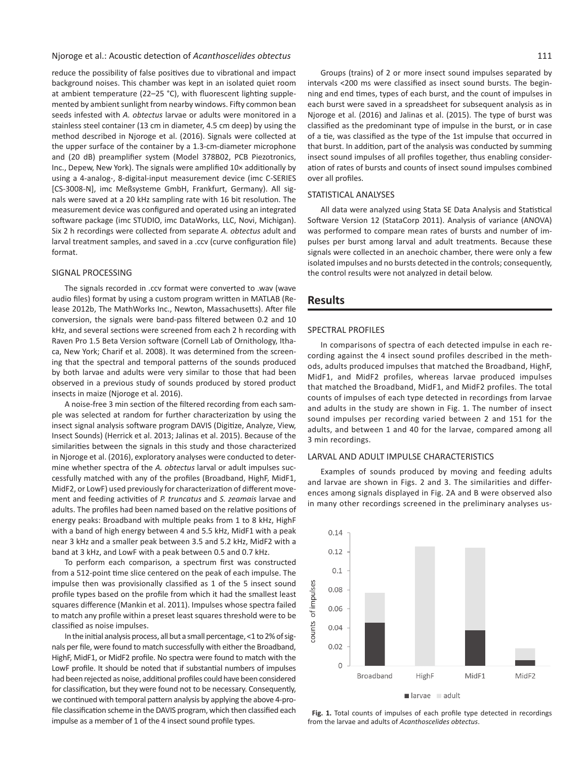Njoroge et al.: Acoustic detection of *Acanthoscelides obtectus* 111

reduce the possibility of false positives due to vibrational and impact background noises. This chamber was kept in an isolated quiet room at ambient temperature (22–25 °C), with fluorescent lighting supplemented by ambient sunlight from nearby windows. Fifty common bean seeds infested with *A. obtectus* larvae or adults were monitored in a stainless steel container (13 cm in diameter, 4.5 cm deep) by using the method described in Njoroge et al. (2016). Signals were collected at the upper surface of the container by a 1.3-cm-diameter microphone and (20 dB) preamplifier system (Model 378B02, PCB Piezotronics, Inc., Depew, New York). The signals were amplified 10× additionally by using a 4-analog-, 8-digital-input measurement device (imc C-SERIES [CS-3008-N], imc Meßsysteme GmbH, Frankfurt, Germany). All signals were saved at a 20 kHz sampling rate with 16 bit resolution. The measurement device was configured and operated using an integrated software package (imc STUDIO, imc DataWorks, LLC, Novi, Michigan). Six 2 h recordings were collected from separate *A. obtectus* adult and larval treatment samples, and saved in a .ccv (curve configuration file) format.

### SIGNAL PROCESSING

The signals recorded in .ccv format were converted to .wav (wave audio files) format by using a custom program written in MATLAB (Release 2012b, The MathWorks Inc., Newton, Massachusetts). After file conversion, the signals were band-pass filtered between 0.2 and 10 kHz, and several sections were screened from each 2 h recording with Raven Pro 1.5 Beta Version software (Cornell Lab of Ornithology, Ithaca, New York; Charif et al. 2008). It was determined from the screening that the spectral and temporal patterns of the sounds produced by both larvae and adults were very similar to those that had been observed in a previous study of sounds produced by stored product insects in maize (Njoroge et al. 2016).

A noise-free 3 min section of the filtered recording from each sample was selected at random for further characterization by using the insect signal analysis software program DAVIS (Digitize, Analyze, View, Insect Sounds) (Herrick et al. 2013; Jalinas et al. 2015). Because of the similarities between the signals in this study and those characterized in Njoroge et al. (2016), exploratory analyses were conducted to determine whether spectra of the *A. obtectus* larval or adult impulses successfully matched with any of the profiles (Broadband, HighF, MidF1, MidF2, or LowF) used previously for characterization of different movement and feeding activities of *P. truncatus* and *S. zeamais* larvae and adults. The profiles had been named based on the relative positions of energy peaks: Broadband with multiple peaks from 1 to 8 kHz, HighF with a band of high energy between 4 and 5.5 kHz, MidF1 with a peak near 3 kHz and a smaller peak between 3.5 and 5.2 kHz, MidF2 with a band at 3 kHz, and LowF with a peak between 0.5 and 0.7 kHz.

To perform each comparison, a spectrum first was constructed from a 512-point time slice centered on the peak of each impulse. The impulse then was provisionally classified as 1 of the 5 insect sound profile types based on the profile from which it had the smallest least squares difference (Mankin et al. 2011). Impulses whose spectra failed to match any profile within a preset least squares threshold were to be classified as noise impulses.

In the initial analysis process, all but a small percentage, <1 to 2% of signals per file, were found to match successfully with either the Broadband, HighF, MidF1, or MidF2 profile. No spectra were found to match with the LowF profile. It should be noted that if substantial numbers of impulses had been rejected as noise, additional profiles could have been considered for classification, but they were found not to be necessary. Consequently, we continued with temporal pattern analysis by applying the above 4-profile classification scheme in the DAVIS program, which then classified each impulse as a member of 1 of the 4 insect sound profile types.

Groups (trains) of 2 or more insect sound impulses separated by intervals <200 ms were classified as insect sound bursts. The beginning and end times, types of each burst, and the count of impulses in each burst were saved in a spreadsheet for subsequent analysis as in Njoroge et al. (2016) and Jalinas et al. (2015). The type of burst was classified as the predominant type of impulse in the burst, or in case of a tie, was classified as the type of the 1st impulse that occurred in that burst. In addition, part of the analysis was conducted by summing insect sound impulses of all profiles together, thus enabling consideration of rates of bursts and counts of insect sound impulses combined over all profiles.

## STATISTICAL ANALYSES

All data were analyzed using Stata SE Data Analysis and Statistical Software Version 12 (StataCorp 2011). Analysis of variance (ANOVA) was performed to compare mean rates of bursts and number of impulses per burst among larval and adult treatments. Because these signals were collected in an anechoic chamber, there were only a few isolated impulses and no bursts detected in the controls; consequently, the control results were not analyzed in detail below.

# **Results**

## SPECTRAL PROFILES

In comparisons of spectra of each detected impulse in each recording against the 4 insect sound profiles described in the methods, adults produced impulses that matched the Broadband, HighF, MidF1, and MidF2 profiles, whereas larvae produced impulses that matched the Broadband, MidF1, and MidF2 profiles. The total counts of impulses of each type detected in recordings from larvae and adults in the study are shown in Fig. 1. The number of insect sound impulses per recording varied between 2 and 151 for the adults, and between 1 and 40 for the larvae, compared among all 3 min recordings.

## LARVAL AND ADULT IMPULSE CHARACTERISTICS

Examples of sounds produced by moving and feeding adults and larvae are shown in Figs. 2 and 3. The similarities and differences among signals displayed in Fig. 2A and B were observed also in many other recordings screened in the preliminary analyses us-



**Fig. 1.** Total counts of impulses of each profile type detected in recordings from the larvae and adults of *Acanthoscelides obtectus*.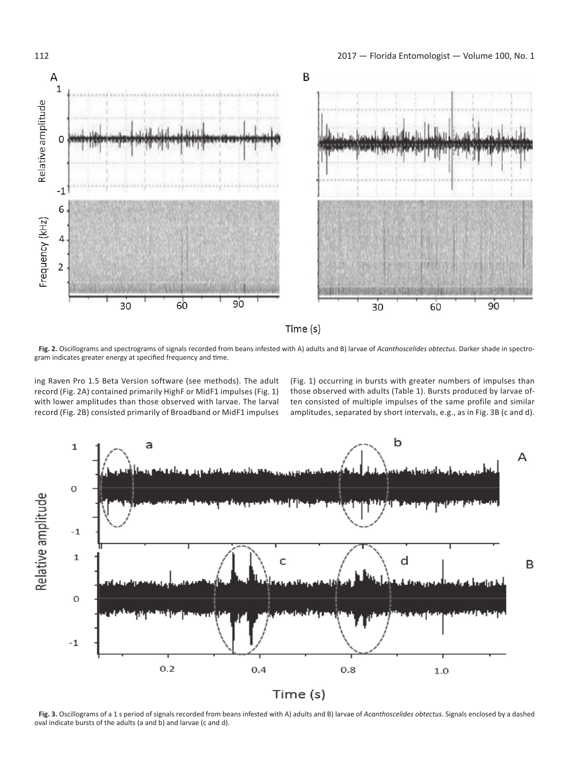

**Fig. 2.** Oscillograms and spectrograms of signals recorded from beans infested with A) adults and B) larvae of *Acanthoscelides obtectus*. Darker shade in spectrogram indicates greater energy at specified frequency and time.

ing Raven Pro 1.5 Beta Version software (see methods). The adult record (Fig. 2A) contained primarily HighF or MidF1 impulses (Fig. 1) with lower amplitudes than those observed with larvae. The larval record (Fig. 2B) consisted primarily of Broadband or MidF1 impulses

(Fig. 1) occurring in bursts with greater numbers of impulses than those observed with adults (Table 1). Bursts produced by larvae often consisted of multiple impulses of the same profile and similar amplitudes, separated by short intervals, e.g., as in Fig. 3B (c and d).



**Fig. 3.** Oscillograms of a 1 s period of signals recorded from beans infested with A) adults and B) larvae of *Acanthoscelides obtectus*. Signals enclosed by a dashed oval indicate bursts of the adults (a and b) and larvae (c and d).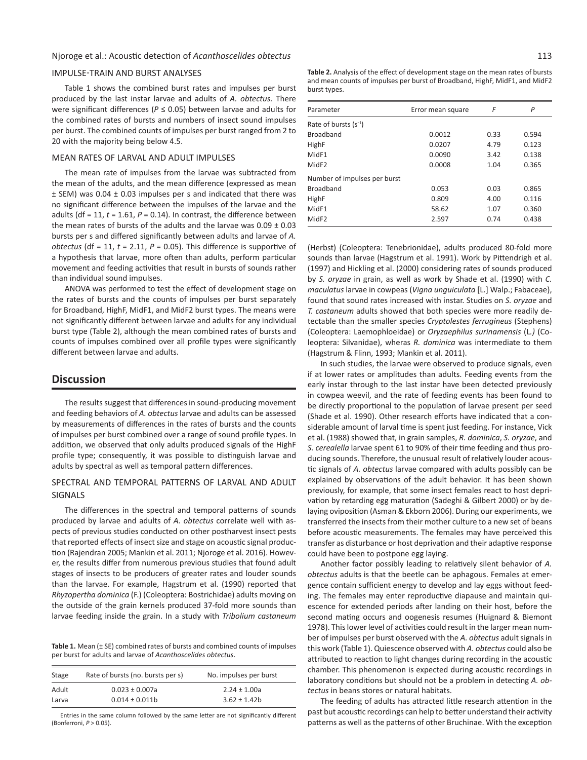## IMPULSE-TRAIN AND BURST ANALYSES

Table 1 shows the combined burst rates and impulses per burst produced by the last instar larvae and adults of *A. obtectus.* There were significant differences (*P* ≤ 0.05) between larvae and adults for the combined rates of bursts and numbers of insect sound impulses per burst. The combined counts of impulses per burst ranged from 2 to 20 with the majority being below 4.5.

## MEAN RATES OF LARVAL AND ADULT IMPULSES

The mean rate of impulses from the larvae was subtracted from the mean of the adults, and the mean difference (expressed as mean  $\pm$  SEM) was 0.04  $\pm$  0.03 impulses per s and indicated that there was no significant difference between the impulses of the larvae and the adults (df = 11,  $t = 1.61$ ,  $P = 0.14$ ). In contrast, the difference between the mean rates of bursts of the adults and the larvae was  $0.09 \pm 0.03$ bursts per s and differed significantly between adults and larvae of *A. obtectus* (df = 11, *t* = 2.11, *P* = 0.05). This difference is supportive of a hypothesis that larvae, more often than adults, perform particular movement and feeding activities that result in bursts of sounds rather than individual sound impulses.

ANOVA was performed to test the effect of development stage on the rates of bursts and the counts of impulses per burst separately for Broadband, HighF, MidF1, and MidF2 burst types. The means were not significantly different between larvae and adults for any individual burst type (Table 2), although the mean combined rates of bursts and counts of impulses combined over all profile types were significantly different between larvae and adults.

# **Discussion**

The results suggest that differences in sound-producing movement and feeding behaviors of *A. obtectus* larvae and adults can be assessed by measurements of differences in the rates of bursts and the counts of impulses per burst combined over a range of sound profile types. In addition, we observed that only adults produced signals of the HighF profile type; consequently, it was possible to distinguish larvae and adults by spectral as well as temporal pattern differences.

## SPECTRAL AND TEMPORAL PATTERNS OF LARVAL AND ADULT SIGNALS

The differences in the spectral and temporal patterns of sounds produced by larvae and adults of *A. obtectus* correlate well with aspects of previous studies conducted on other postharvest insect pests that reported effects of insect size and stage on acoustic signal production (Rajendran 2005; Mankin et al. 2011; Njoroge et al. 2016). However, the results differ from numerous previous studies that found adult stages of insects to be producers of greater rates and louder sounds than the larvae. For example, Hagstrum et al. (1990) reported that *Rhyzopertha dominica* (F.) (Coleoptera: Bostrichidae) adults moving on the outside of the grain kernels produced 37-fold more sounds than larvae feeding inside the grain. In a study with *Tribolium castaneum* 

**Table 1.** Mean (± SE) combined rates of bursts and combined counts of impulses per burst for adults and larvae of *Acanthoscelides obtectus*.

| Stage | Rate of bursts (no. bursts per s) | No. impulses per burst |
|-------|-----------------------------------|------------------------|
| Adult | $0.023 \pm 0.007a$                | $2.24 \pm 1.00a$       |
| Larva | $0.014 \pm 0.011b$                | $3.62 \pm 1.42$        |

Entries in the same column followed by the same letter are not significantly different (Bonferroni, *P* > 0.05).

**Table 2.** Analysis of the effect of development stage on the mean rates of bursts and mean counts of impulses per burst of Broadband, HighF, MidF1, and MidF2 burst types.

| Parameter                    | Error mean square | F    | P     |
|------------------------------|-------------------|------|-------|
| Rate of bursts $(s^{-1})$    |                   |      |       |
| Broadband                    | 0.0012            | 0.33 | 0.594 |
| HighF                        | 0.0207            | 4.79 | 0.123 |
| MidF1                        | 0.0090            | 3.42 | 0.138 |
| MidF <sub>2</sub>            | 0.0008            | 1.04 | 0.365 |
| Number of impulses per burst |                   |      |       |
| <b>Broadband</b>             | 0.053             | 0.03 | 0.865 |
| HighF                        | 0.809             | 4.00 | 0.116 |
| MidF1                        | 58.62             | 1.07 | 0.360 |
| MidF <sub>2</sub>            | 2.597             | 0.74 | 0.438 |

(Herbst) (Coleoptera: Tenebrionidae), adults produced 80-fold more sounds than larvae (Hagstrum et al. 1991). Work by Pittendrigh et al. (1997) and Hickling et al. (2000) considering rates of sounds produced by *S. oryzae* in grain, as well as work by Shade et al. (1990) with *C. maculatus* larvae in cowpeas (*Vigna unguiculata* [L.] Walp.; Fabaceae), found that sound rates increased with instar. Studies on *S. oryzae* and *T. castaneum* adults showed that both species were more readily detectable than the smaller species *Cryptolestes ferrugineus* (Stephens) (Coleoptera: Laemophloeidae) or *Oryzaephilus surinamensis* (L*.)* (Coleoptera: Silvanidae), wheras *R. dominica* was intermediate to them (Hagstrum & Flinn, 1993; Mankin et al. 2011).

In such studies, the larvae were observed to produce signals, even if at lower rates or amplitudes than adults. Feeding events from the early instar through to the last instar have been detected previously in cowpea weevil, and the rate of feeding events has been found to be directly proportional to the population of larvae present per seed (Shade et al. 1990). Other research efforts have indicated that a considerable amount of larval time is spent just feeding. For instance, Vick et al. (1988) showed that, in grain samples, *R. dominica*, *S. oryzae*, and *S. cerealella* larvae spent 61 to 90% of their time feeding and thus producing sounds. Therefore, the unusual result of relatively louder acoustic signals of *A. obtectus* larvae compared with adults possibly can be explained by observations of the adult behavior. It has been shown previously, for example, that some insect females react to host deprivation by retarding egg maturation (Sadeghi & Gilbert 2000) or by delaying oviposition (Asman & Ekborn 2006). During our experiments, we transferred the insects from their mother culture to a new set of beans before acoustic measurements. The females may have perceived this transfer as disturbance or host deprivation and their adaptive response could have been to postpone egg laying.

Another factor possibly leading to relatively silent behavior of *A. obtectus* adults is that the beetle can be aphagous. Females at emergence contain sufficient energy to develop and lay eggs without feeding. The females may enter reproductive diapause and maintain quiescence for extended periods after landing on their host, before the second mating occurs and oogenesis resumes (Huignard & Biemont 1978). This lower level of activities could result in the larger mean number of impulses per burst observed with the *A. obtectus* adult signals in this work (Table 1). Quiescence observed with *A. obtectus* could also be attributed to reaction to light changes during recording in the acoustic chamber. This phenomenon is expected during acoustic recordings in laboratory conditions but should not be a problem in detecting *A. obtectus* in beans stores or natural habitats.

The feeding of adults has attracted little research attention in the past but acoustic recordings can help to better understand their activity patterns as well as the patterns of other Bruchinae. With the exception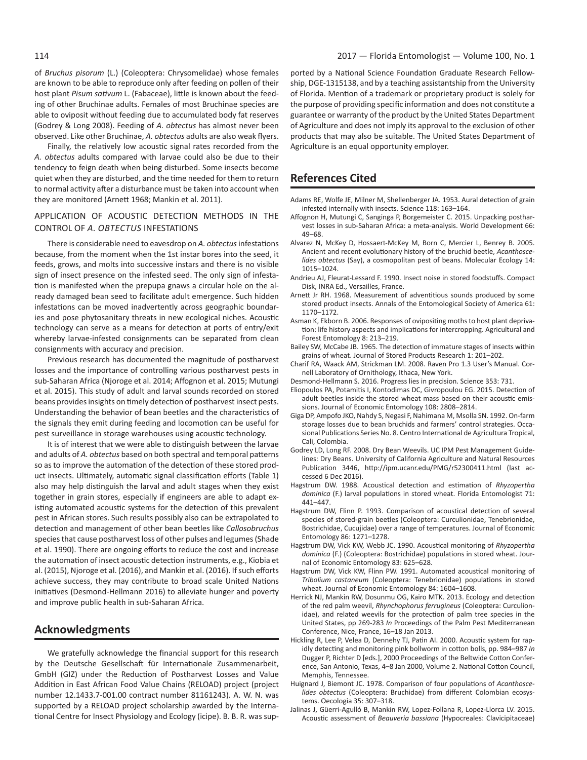of *Bruchus pisorum* (L.) (Coleoptera: Chrysomelidae) whose females are known to be able to reproduce only after feeding on pollen of their host plant *Pisum sativum* L. (Fabaceae), little is known about the feeding of other Bruchinae adults. Females of most Bruchinae species are able to oviposit without feeding due to accumulated body fat reserves (Godrey & Long 2008). Feeding of *A. obtectus* has almost never been observed. Like other Bruchinae, *A. obtectus* adults are also weak flyers.

Finally, the relatively low acoustic signal rates recorded from the *A. obtectus* adults compared with larvae could also be due to their tendency to feign death when being disturbed. Some insects become quiet when they are disturbed, and the time needed for them to return to normal activity after a disturbance must be taken into account when they are monitored (Arnett 1968; Mankin et al. 2011).

# APPLICATION OF ACOUSTIC DETECTION METHODS IN THE CONTROL OF *A. OBTECTUS* INFESTATIONS

There is considerable need to eavesdrop on *A. obtectus* infestations because, from the moment when the 1st instar bores into the seed, it feeds, grows, and molts into successive instars and there is no visible sign of insect presence on the infested seed. The only sign of infestation is manifested when the prepupa gnaws a circular hole on the already damaged bean seed to facilitate adult emergence. Such hidden infestations can be moved inadvertently across geographic boundaries and pose phytosanitary threats in new ecological niches. Acoustic technology can serve as a means for detection at ports of entry/exit whereby larvae-infested consignments can be separated from clean consignments with accuracy and precision.

Previous research has documented the magnitude of postharvest losses and the importance of controlling various postharvest pests in sub-Saharan Africa (Njoroge et al. 2014; Affognon et al. 2015; Mutungi et al. 2015). This study of adult and larval sounds recorded on stored beans provides insights on timely detection of postharvest insect pests. Understanding the behavior of bean beetles and the characteristics of the signals they emit during feeding and locomotion can be useful for pest surveillance in storage warehouses using acoustic technology.

It is of interest that we were able to distinguish between the larvae and adults of *A. obtectus* based on both spectral and temporal patterns so as to improve the automation of the detection of these stored product insects. Ultimately, automatic signal classification efforts (Table 1) also may help distinguish the larval and adult stages when they exist together in grain stores, especially if engineers are able to adapt existing automated acoustic systems for the detection of this prevalent pest in African stores. Such results possibly also can be extrapolated to detection and management of other bean beetles like *Callosobruchus*  species that cause postharvest loss of other pulses and legumes (Shade et al. 1990). There are ongoing efforts to reduce the cost and increase the automation of insect acoustic detection instruments, e.g., Kiobia et al. (2015), Njoroge et al. (2016), and Mankin et al. (2016). If such efforts achieve success, they may contribute to broad scale United Nations initiatives (Desmond-Hellmann 2016) to alleviate hunger and poverty and improve public health in sub-Saharan Africa.

# **Acknowledgments**

We gratefully acknowledge the financial support for this research by the Deutsche Gesellschaft für Internationale Zusammenarbeit, GmbH (GIZ) under the Reduction of Postharvest Losses and Value Addition in East African Food Value Chains (RELOAD) project (project number 12.1433.7-001.00 contract number 81161243). A. W. N. was supported by a RELOAD project scholarship awarded by the International Centre for Insect Physiology and Ecology (icipe). B. B. R. was sup-

ported by a National Science Foundation Graduate Research Fellowship, DGE-1315138, and by a teaching assistantship from the University of Florida. Mention of a trademark or proprietary product is solely for the purpose of providing specific information and does not constitute a guarantee or warranty of the product by the United States Department of Agriculture and does not imply its approval to the exclusion of other products that may also be suitable. The United States Department of Agriculture is an equal opportunity employer.

# **References Cited**

- Adams RE, Wolfe JE, Milner M, Shellenberger JA. 1953. Aural detection of grain infested internally with insects. Science 118: 163–164.
- Affognon H, Mutungi C, Sanginga P, Borgemeister C. 2015. Unpacking postharvest losses in sub-Saharan Africa: a meta-analysis. World Development 66: 49–68.
- Alvarez N, McKey D, Hossaert-McKey M, Born C, Mercier L, Benrey B. 2005. Ancient and recent evolutionary history of the bruchid beetle, *Acanthoscelides obtectus* (Say), a cosmopolitan pest of beans. Molecular Ecology 14: 1015–1024.
- Andrieu AJ, Fleurat-Lessard F. 1990. Insect noise in stored foodstuffs. Compact Disk, INRA Ed., Versailles, France.
- Arnett Jr RH. 1968. Measurement of adventitious sounds produced by some stored product insects. Annals of the Entomological Society of America 61: 1170–1172.
- Asman K, Ekborn B. 2006. Responses of ovipositing moths to host plant deprivation: life history aspects and implications for intercropping. Agricultural and Forest Entomology 8: 213–219.
- Bailey SW, McCabe JB. 1965. The detection of immature stages of insects within grains of wheat. Journal of Stored Products Research 1: 201–202.
- Charif RA, Waack AM, Strickman LM. 2008. Raven Pro 1.3 User's Manual. Cornell Laboratory of Ornithology, Ithaca, New York.
- Desmond-Hellmann S. 2016. Progress lies in precision. Science 353: 731.
- Eliopoulos PA, Potamitis I, Kontodimas DC, Givropoulou EG. 2015. Detection of adult beetles inside the stored wheat mass based on their acoustic emissions. Journal of Economic Entomology 108: 2808–2814.
- Giga DP, Ampofo JKO, Nahdy S, Negasi F, Nahimana M, Msolla SN. 1992. On-farm storage losses due to bean bruchids and farmers' control strategies. Occasional Publications Series No. 8. Centro International de Agricultura Tropical, Cali, Colombia.
- Godrey LD, Long RF. 2008. Dry Bean Weevils. UC IPM Pest Management Guidelines: Dry Beans. University of California Agriculture and Natural Resources Publication 3446, http://ipm.ucanr.edu/PMG/r52300411.html (last accessed 6 Dec 2016).
- Hagstrum DW. 1988. Acoustical detection and estimation of *Rhyzopertha dominica* (F.) larval populations in stored wheat. Florida Entomologist 71: 441–447.
- Hagstrum DW, Flinn P. 1993. Comparison of acoustical detection of several species of stored-grain beetles (Coleoptera: Curculionidae, Tenebrionidae, Bostrichidae, Cucujidae) over a range of temperatures. Journal of Economic Entomology 86: 1271–1278.
- Hagstrum DW, Vick KW, Webb JC. 1990. Acoustical monitoring of *Rhyzopertha dominica* (F.) (Coleoptera: Bostrichidae) populations in stored wheat. Journal of Economic Entomology 83: 625–628.
- Hagstrum DW, Vick KW, Flinn PW. 1991. Automated acoustical monitoring of *Tribolium castaneum* (Coleoptera: Tenebrionidae) populations in stored wheat. Journal of Economic Entomology 84: 1604–1608.
- Herrick NJ, Mankin RW, Dosunmu OG, Kairo MTK. 2013. Ecology and detection of the red palm weevil, *Rhynchophorus ferrugineus* (Coleoptera: Curculionidae), and related weevils for the protection of palm tree species in the United States, pp 269-283 *In* Proceedings of the Palm Pest Mediterranean Conference, Nice, France, 16–18 Jan 2013.
- Hickling R, Lee P, Velea D, Dennehy TJ, Patin AI. 2000. Acoustic system for rapidly detecting and monitoring pink bollworm in cotton bolls, pp. 984–987 *In*  Dugger P, Richter D [eds.], 2000 Proceedings of the Beltwide Cotton Conference, San Antonio, Texas, 4–8 Jan 2000, Volume 2. National Cotton Council, Memphis, Tennessee.
- Huignard J, Biemont JC. 1978. Comparison of four populations of *Acanthoscelides obtectus* (Coleoptera: Bruchidae) from different Colombian ecosystems. Oecologia 35: 307–318.
- Jalinas J, Güerri-Agulló B, Mankin RW, Lopez-Follana R, Lopez-Llorca LV. 2015. Acoustic assessment of *Beauveria bassiana* (Hypocreales: Clavicipitaceae)